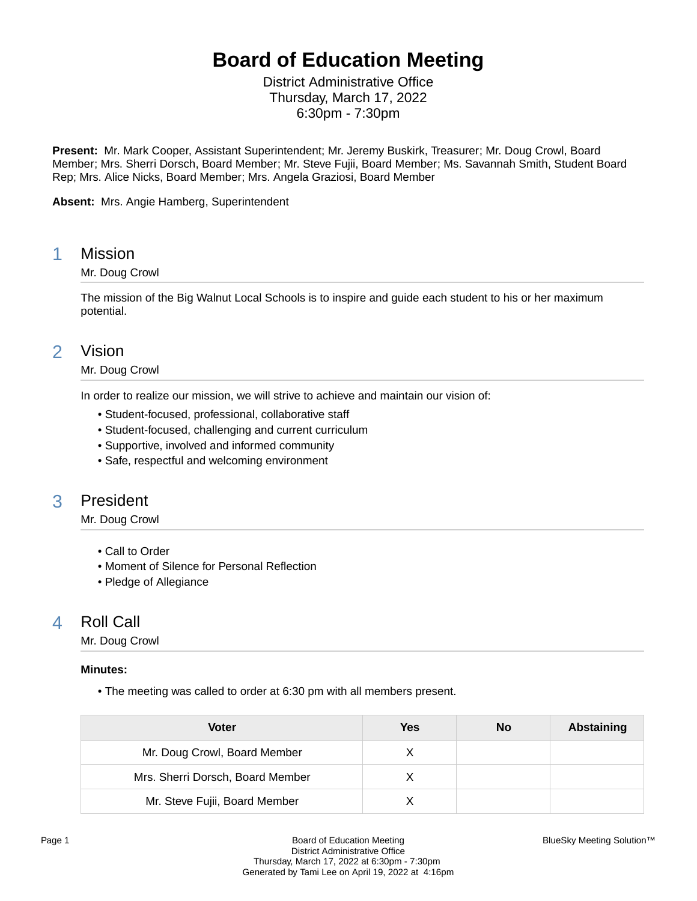# **Board of Education Meeting**

District Administrative Office Thursday, March 17, 2022 6:30pm - 7:30pm

**Present:** Mr. Mark Cooper, Assistant Superintendent; Mr. Jeremy Buskirk, Treasurer; Mr. Doug Crowl, Board Member; Mrs. Sherri Dorsch, Board Member; Mr. Steve Fujii, Board Member; Ms. Savannah Smith, Student Board Rep; Mrs. Alice Nicks, Board Member; Mrs. Angela Graziosi, Board Member

**Absent:** Mrs. Angie Hamberg, Superintendent

### 1 Mission

#### Mr. Doug Crowl

The mission of the Big Walnut Local Schools is to inspire and guide each student to his or her maximum potential.

### 2 Vision

#### Mr. Doug Crowl

In order to realize our mission, we will strive to achieve and maintain our vision of:

- Student-focused, professional, collaborative staff
- Student-focused, challenging and current curriculum
- Supportive, involved and informed community
- Safe, respectful and welcoming environment

# 3 President

Mr. Doug Crowl

- Call to Order
- Moment of Silence for Personal Reflection
- Pledge of Allegiance

# 4 Roll Call

Mr. Doug Crowl

#### **Minutes:**

• The meeting was called to order at 6:30 pm with all members present.

| Voter                            | Yes | No | Abstaining |
|----------------------------------|-----|----|------------|
| Mr. Doug Crowl, Board Member     |     |    |            |
| Mrs. Sherri Dorsch, Board Member |     |    |            |
| Mr. Steve Fujii, Board Member    |     |    |            |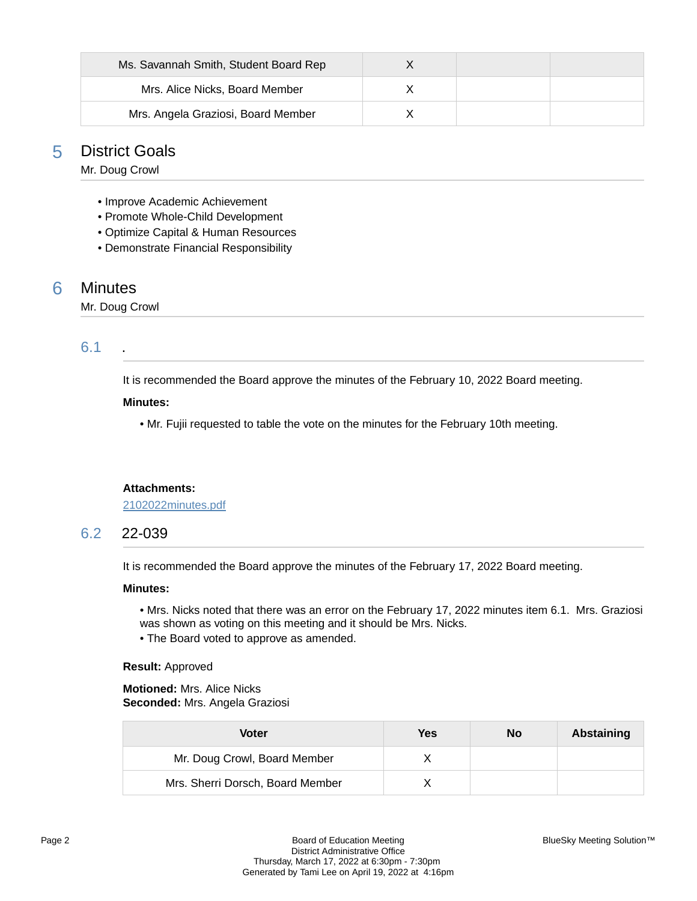| Ms. Savannah Smith, Student Board Rep |  |  |
|---------------------------------------|--|--|
| Mrs. Alice Nicks, Board Member        |  |  |
| Mrs. Angela Graziosi, Board Member    |  |  |

### 5 District Goals

Mr. Doug Crowl

- Improve Academic Achievement
- Promote Whole-Child Development
- Optimize Capital & Human Resources
- Demonstrate Financial Responsibility

### 6 Minutes

Mr. Doug Crowl

### 6.1 .

It is recommended the Board approve the minutes of the February 10, 2022 Board meeting.

#### **Minutes:**

• Mr. Fujii requested to table the vote on the minutes for the February 10th meeting.

#### **Attachments:**

[2102022minutes.pdf](https://bigwalnut.blueskymeeting.com/meeting_groups/274/item_attachments/65474)

### 6.2 22-039

It is recommended the Board approve the minutes of the February 17, 2022 Board meeting.

#### **Minutes:**

• Mrs. Nicks noted that there was an error on the February 17, 2022 minutes item 6.1. Mrs. Graziosi was shown as voting on this meeting and it should be Mrs. Nicks.

• The Board voted to approve as amended.

#### **Result:** Approved

**Motioned:** Mrs. Alice Nicks **Seconded:** Mrs. Angela Graziosi

| Voter                            | Yes | No | Abstaining |
|----------------------------------|-----|----|------------|
| Mr. Doug Crowl, Board Member     |     |    |            |
| Mrs. Sherri Dorsch, Board Member |     |    |            |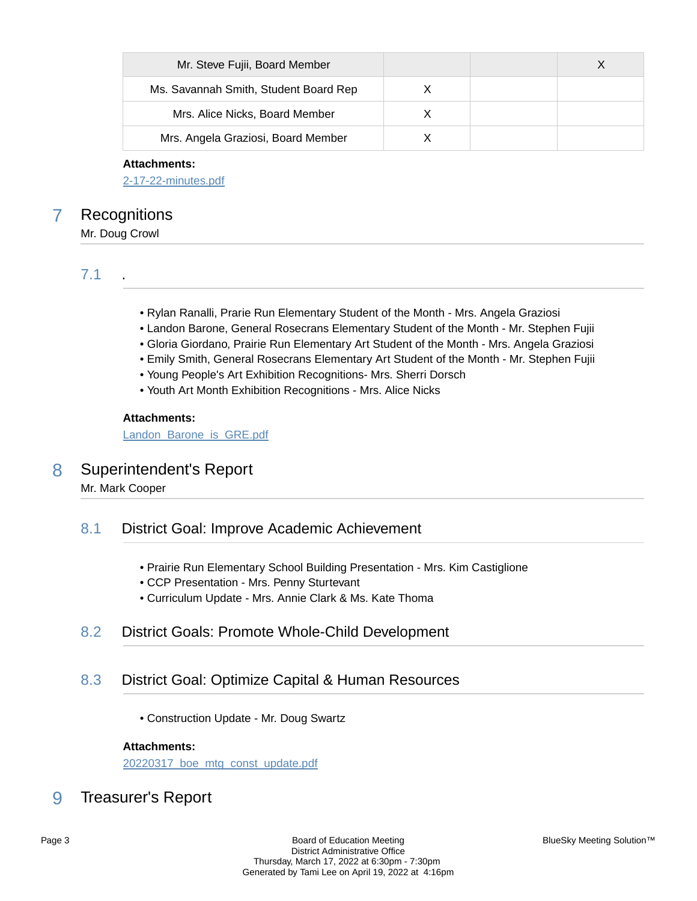| Mr. Steve Fujii, Board Member         |  |  |
|---------------------------------------|--|--|
| Ms. Savannah Smith, Student Board Rep |  |  |
| Mrs. Alice Nicks, Board Member        |  |  |
| Mrs. Angela Graziosi, Board Member    |  |  |

#### **Attachments:**

[2-17-22-minutes.pdf](https://bigwalnut.blueskymeeting.com/meeting_groups/274/item_attachments/66260)

# 7 Recognitions

Mr. Doug Crowl

 $7.1$ 

- Rylan Ranalli, Prarie Run Elementary Student of the Month Mrs. Angela Graziosi
- Landon Barone, General Rosecrans Elementary Student of the Month Mr. Stephen Fujii
- Gloria Giordano, Prairie Run Elementary Art Student of the Month Mrs. Angela Graziosi
- Emily Smith, General Rosecrans Elementary Art Student of the Month Mr. Stephen Fujii
- Young People's Art Exhibition Recognitions- Mrs. Sherri Dorsch
- Youth Art Month Exhibition Recognitions Mrs. Alice Nicks

#### **Attachments:**

Landon Barone is GRE.pdf

8 Superintendent's Report

Mr. Mark Cooper

### 8.1 District Goal: Improve Academic Achievement

- Prairie Run Elementary School Building Presentation Mrs. Kim Castiglione
- CCP Presentation Mrs. Penny Sturtevant
- Curriculum Update Mrs. Annie Clark & Ms. Kate Thoma
- 8.2 District Goals: Promote Whole-Child Development
- 8.3 District Goal: Optimize Capital & Human Resources
	- Construction Update Mr. Doug Swartz

#### **Attachments:**

[20220317\\_boe\\_mtg\\_const\\_update.pdf](https://bigwalnut.blueskymeeting.com/meeting_groups/274/item_attachments/65498)

# 9 Treasurer's Report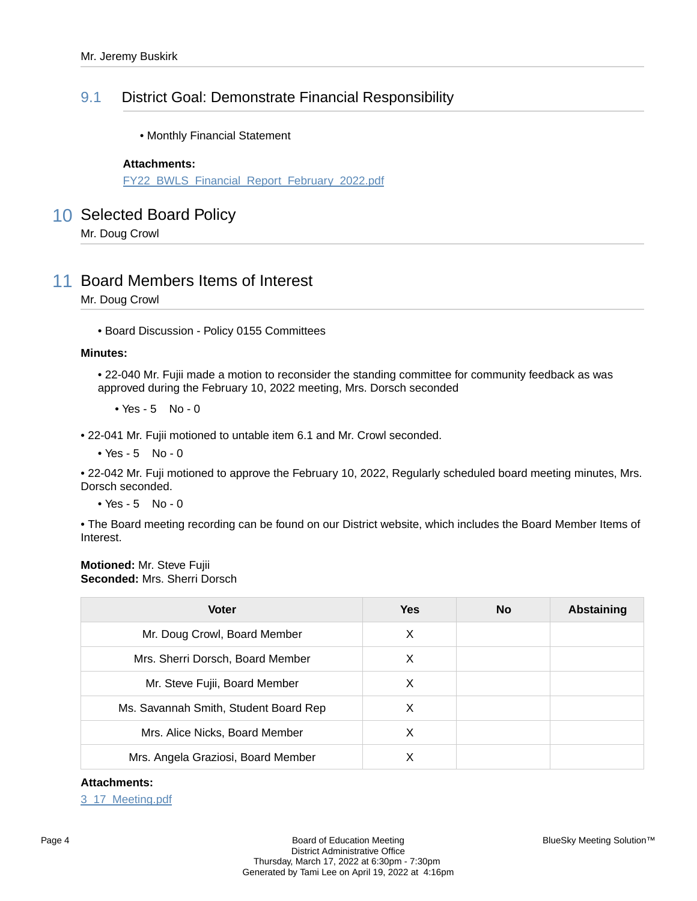### 9.1 District Goal: Demonstrate Financial Responsibility

• Monthly Financial Statement

#### **Attachments:**

[FY22\\_BWLS\\_Financial\\_Report\\_February\\_2022.pdf](https://bigwalnut.blueskymeeting.com/meeting_groups/274/item_attachments/65369)

### 10 Selected Board Policy

Mr. Doug Crowl

# 11 Board Members Items of Interest

Mr. Doug Crowl

• Board Discussion - Policy 0155 Committees

#### **Minutes:**

- 22-040 Mr. Fujii made a motion to reconsider the standing committee for community feedback as was approved during the February 10, 2022 meeting, Mrs. Dorsch seconded
	- Yes 5 No 0

• 22-041 Mr. Fujii motioned to untable item 6.1 and Mr. Crowl seconded.

• Yes - 5 No - 0

• 22-042 Mr. Fuji motioned to approve the February 10, 2022, Regularly scheduled board meeting minutes, Mrs. Dorsch seconded.

• Yes - 5 No - 0

• The Board meeting recording can be found on our District website, which includes the Board Member Items of Interest.

#### **Motioned:** Mr. Steve Fujii **Seconded:** Mrs. Sherri Dorsch

| <b>Voter</b>                          | <b>Yes</b> | <b>No</b> | <b>Abstaining</b> |
|---------------------------------------|------------|-----------|-------------------|
| Mr. Doug Crowl, Board Member          | Х          |           |                   |
| Mrs. Sherri Dorsch, Board Member      | X          |           |                   |
| Mr. Steve Fujii, Board Member         | X          |           |                   |
| Ms. Savannah Smith, Student Board Rep | X          |           |                   |
| Mrs. Alice Nicks, Board Member        | X          |           |                   |
| Mrs. Angela Graziosi, Board Member    | X          |           |                   |

#### **Attachments:**

[3\\_17\\_Meeting.pdf](https://bigwalnut.blueskymeeting.com/meeting_groups/274/item_attachments/65662)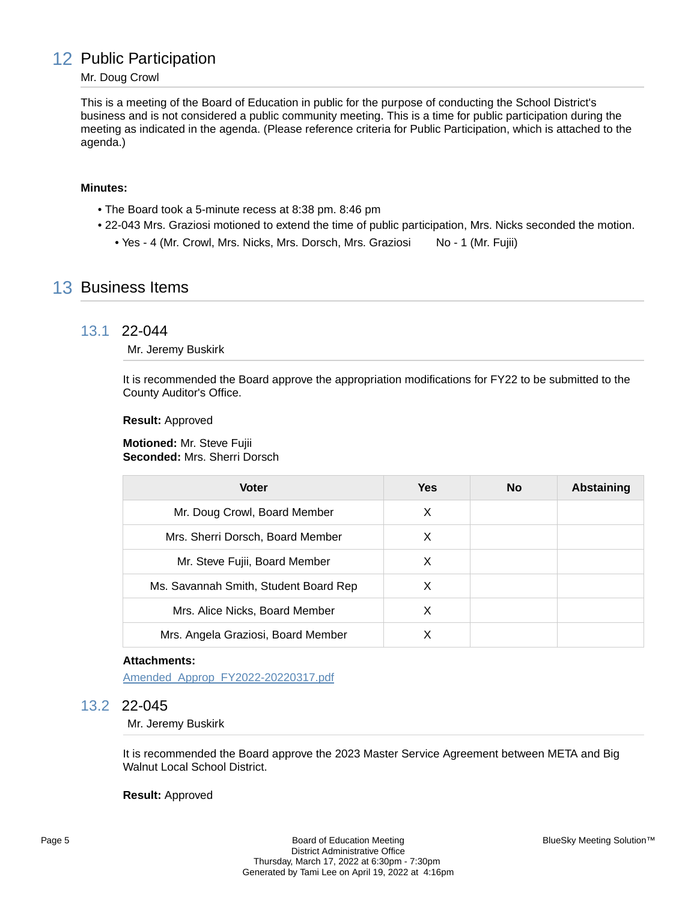# 12 Public Participation

#### Mr. Doug Crowl

This is a meeting of the Board of Education in public for the purpose of conducting the School District's business and is not considered a public community meeting. This is a time for public participation during the meeting as indicated in the agenda. (Please reference criteria for Public Participation, which is attached to the agenda.)

#### **Minutes:**

- The Board took a 5-minute recess at 8:38 pm. 8:46 pm
- 22-043 Mrs. Graziosi motioned to extend the time of public participation, Mrs. Nicks seconded the motion.
	- Yes 4 (Mr. Crowl, Mrs. Nicks, Mrs. Dorsch, Mrs. Graziosi No 1 (Mr. Fujii)

## 13 Business Items

#### 13.1 22-044

Mr. Jeremy Buskirk

It is recommended the Board approve the appropriation modifications for FY22 to be submitted to the County Auditor's Office.

#### **Result:** Approved

**Motioned:** Mr. Steve Fujii **Seconded:** Mrs. Sherri Dorsch

| <b>Voter</b>                          | Yes | <b>No</b> | <b>Abstaining</b> |
|---------------------------------------|-----|-----------|-------------------|
| Mr. Doug Crowl, Board Member          | X   |           |                   |
| Mrs. Sherri Dorsch, Board Member      | X   |           |                   |
| Mr. Steve Fujii, Board Member         | X   |           |                   |
| Ms. Savannah Smith, Student Board Rep | X   |           |                   |
| Mrs. Alice Nicks, Board Member        | X   |           |                   |
| Mrs. Angela Graziosi, Board Member    |     |           |                   |

#### **Attachments:**

[Amended\\_Approp\\_FY2022-20220317.pdf](https://bigwalnut.blueskymeeting.com/meeting_groups/274/item_attachments/65368)

### 13.2 22-045

Mr. Jeremy Buskirk

It is recommended the Board approve the 2023 Master Service Agreement between META and Big Walnut Local School District.

#### **Result:** Approved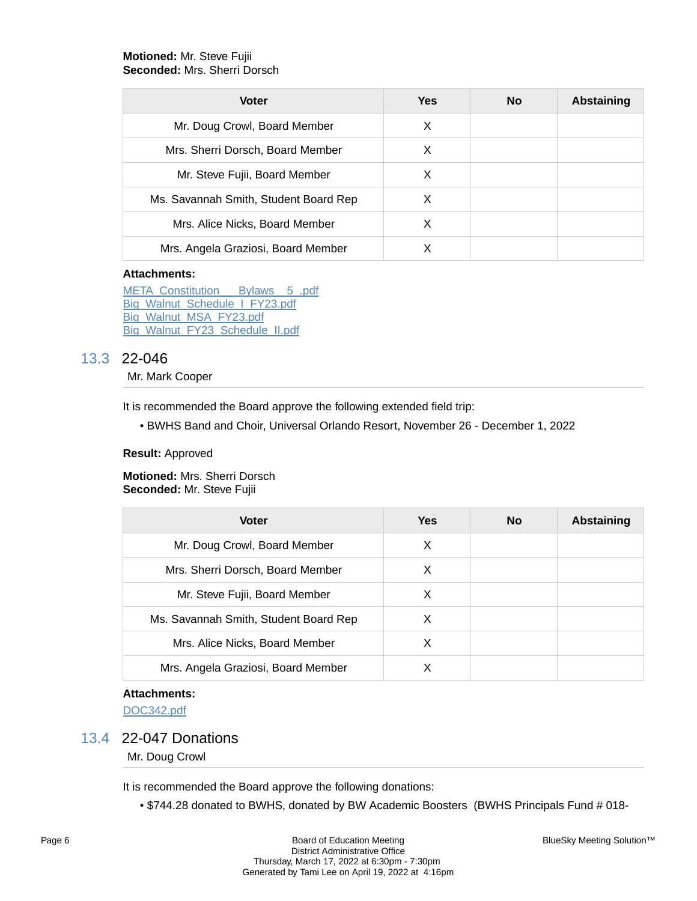#### **Motioned:** Mr. Steve Fujii **Seconded:** Mrs. Sherri Dorsch

| <b>Voter</b>                          | <b>Yes</b> | <b>No</b> | Abstaining |
|---------------------------------------|------------|-----------|------------|
| Mr. Doug Crowl, Board Member          | X          |           |            |
| Mrs. Sherri Dorsch, Board Member      | X          |           |            |
| Mr. Steve Fujii, Board Member         | X          |           |            |
| Ms. Savannah Smith, Student Board Rep | X          |           |            |
| Mrs. Alice Nicks, Board Member        | X          |           |            |
| Mrs. Angela Graziosi, Board Member    | Χ          |           |            |

#### **Attachments:**

META Constitution Bylaws 5 .pdf [Big\\_Walnut\\_Schedule\\_I\\_FY23.pdf](https://bigwalnut.blueskymeeting.com/meeting_groups/274/item_attachments/65262) [Big\\_Walnut\\_MSA\\_FY23.pdf](https://bigwalnut.blueskymeeting.com/meeting_groups/274/item_attachments/65263) [Big\\_Walnut\\_FY23\\_Schedule\\_II.pdf](https://bigwalnut.blueskymeeting.com/meeting_groups/274/item_attachments/65264)

### 13.3 22-046

Mr. Mark Cooper

It is recommended the Board approve the following extended field trip:

• BWHS Band and Choir, Universal Orlando Resort, November 26 - December 1, 2022

#### **Result:** Approved

**Motioned:** Mrs. Sherri Dorsch **Seconded:** Mr. Steve Fujii

| <b>Voter</b>                          | Yes | No | <b>Abstaining</b> |
|---------------------------------------|-----|----|-------------------|
| Mr. Doug Crowl, Board Member          | X   |    |                   |
| Mrs. Sherri Dorsch, Board Member      | X   |    |                   |
| Mr. Steve Fujii, Board Member         | X   |    |                   |
| Ms. Savannah Smith, Student Board Rep | X   |    |                   |
| Mrs. Alice Nicks, Board Member        | X   |    |                   |
| Mrs. Angela Graziosi, Board Member    |     |    |                   |

#### **Attachments:**

[DOC342.pdf](https://bigwalnut.blueskymeeting.com/meeting_groups/274/item_attachments/65265)

### 13.4 22-047 Donations

Mr. Doug Crowl

It is recommended the Board approve the following donations:

• \$744.28 donated to BWHS, donated by BW Academic Boosters (BWHS Principals Fund # 018-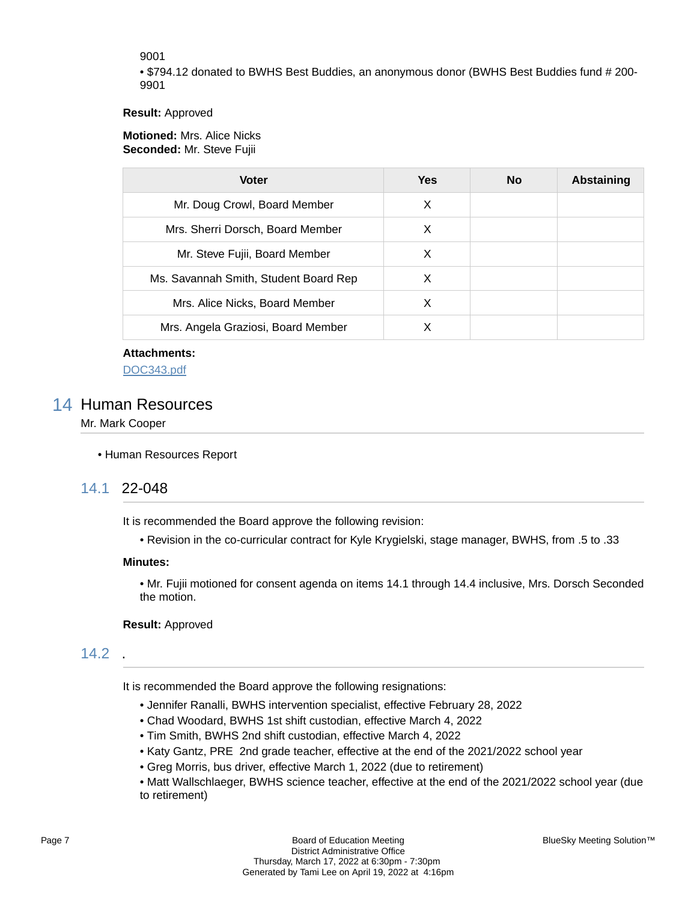9001

• \$794.12 donated to BWHS Best Buddies, an anonymous donor (BWHS Best Buddies fund # 200- 9901

#### **Result:** Approved

#### **Motioned:** Mrs. Alice Nicks **Seconded:** Mr. Steve Fujii

| <b>Voter</b>                          | <b>Yes</b> | No | <b>Abstaining</b> |
|---------------------------------------|------------|----|-------------------|
| Mr. Doug Crowl, Board Member          | X          |    |                   |
| Mrs. Sherri Dorsch, Board Member      | X          |    |                   |
| Mr. Steve Fujii, Board Member         | X          |    |                   |
| Ms. Savannah Smith, Student Board Rep | х          |    |                   |
| Mrs. Alice Nicks, Board Member        | х          |    |                   |
| Mrs. Angela Graziosi, Board Member    | Х          |    |                   |

#### **Attachments:**

[DOC343.pdf](https://bigwalnut.blueskymeeting.com/meeting_groups/274/item_attachments/65291)

### 14 Human Resources

Mr. Mark Cooper

• Human Resources Report

### 14.1 22-048

It is recommended the Board approve the following revision:

• Revision in the co-curricular contract for Kyle Krygielski, stage manager, BWHS, from .5 to .33

#### **Minutes:**

• Mr. Fujii motioned for consent agenda on items 14.1 through 14.4 inclusive, Mrs. Dorsch Seconded the motion.

#### **Result:** Approved

### 14.2 .

It is recommended the Board approve the following resignations:

- Jennifer Ranalli, BWHS intervention specialist, effective February 28, 2022
- Chad Woodard, BWHS 1st shift custodian, effective March 4, 2022
- Tim Smith, BWHS 2nd shift custodian, effective March 4, 2022
- Katy Gantz, PRE 2nd grade teacher, effective at the end of the 2021/2022 school year
- Greg Morris, bus driver, effective March 1, 2022 (due to retirement)

• Matt Wallschlaeger, BWHS science teacher, effective at the end of the 2021/2022 school year (due to retirement)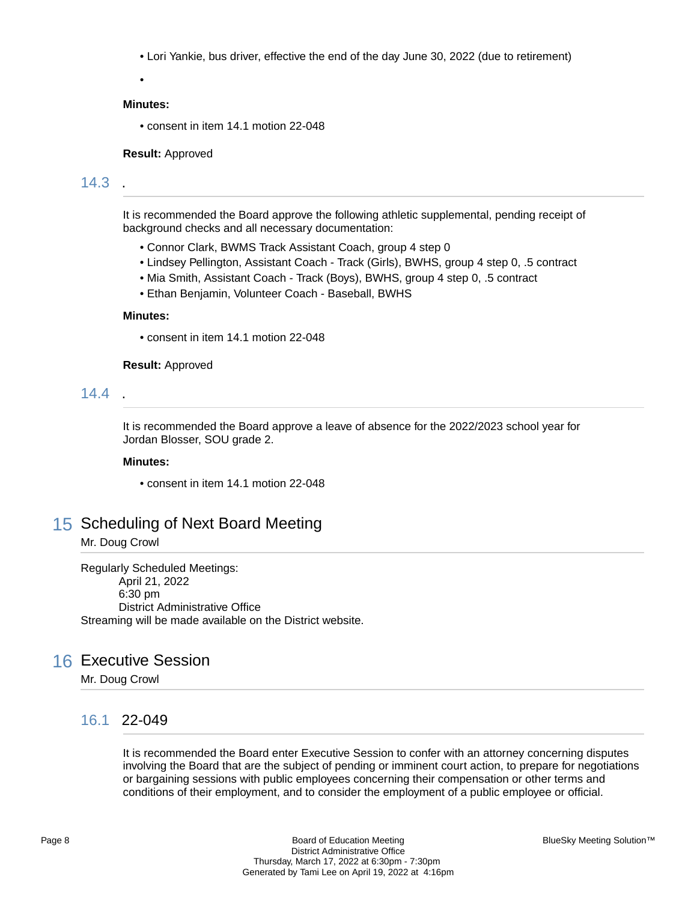• Lori Yankie, bus driver, effective the end of the day June 30, 2022 (due to retirement)

•

#### **Minutes:**

• consent in item 14.1 motion 22-048

#### **Result:** Approved

### 14.3 .

It is recommended the Board approve the following athletic supplemental, pending receipt of background checks and all necessary documentation:

- Connor Clark, BWMS Track Assistant Coach, group 4 step 0
- Lindsey Pellington, Assistant Coach Track (Girls), BWHS, group 4 step 0, .5 contract
- Mia Smith, Assistant Coach Track (Boys), BWHS, group 4 step 0, .5 contract
- Ethan Benjamin, Volunteer Coach Baseball, BWHS

#### **Minutes:**

• consent in item 14.1 motion 22-048

#### **Result:** Approved

### 14.4 .

It is recommended the Board approve a leave of absence for the 2022/2023 school year for Jordan Blosser, SOU grade 2.

#### **Minutes:**

• consent in item 14.1 motion 22-048

# 15 Scheduling of Next Board Meeting

#### Mr. Doug Crowl

Regularly Scheduled Meetings: April 21, 2022 6:30 pm District Administrative Office Streaming will be made available on the District website.

# 16 Executive Session

Mr. Doug Crowl

### 16.1 22-049

It is recommended the Board enter Executive Session to confer with an attorney concerning disputes involving the Board that are the subject of pending or imminent court action, to prepare for negotiations or bargaining sessions with public employees concerning their compensation or other terms and conditions of their employment, and to consider the employment of a public employee or official.